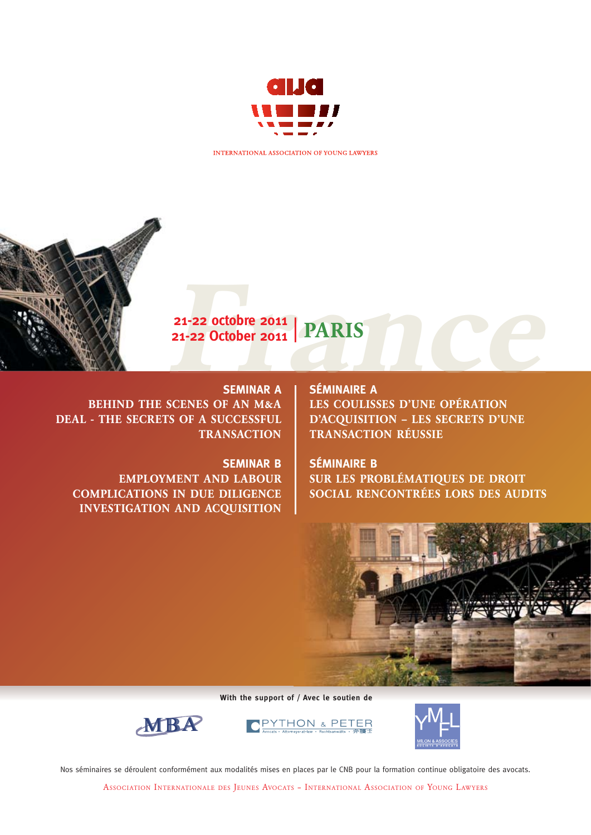

INTERNATIONAL ASSOCIATION OF YOUNG LAWYERS



21-22 octobre 2011 | PARIS<br>21-22 October 2011 | PARIS<br>SEMINAR A | SÉMINAIRE A **21-22 octobre 2011 21-22 October 2011**|PARIS

### **SEMINAR A**

BEHIND THE SCENES OF AN M&A DEAL - THE SECRETS OF A SUCCESSFUL **TRANSACTION** 

#### **SEMINAR B**

EMPLOYMENT AND LABOUR COMPLICATIONS IN DUE DILIGENCE INVESTIGATION AND ACQUISITION

#### **SÉMINAIRE A**

LES COULISSES D'UNE OPÉRATION D'ACQUISITION – LES SECRETS D'UNE TRANSACTION RÉUSSIE

#### **SÉMINAIRE B**

SUR LES PROBLÉMATIQUES DE DROIT SOCIAL RENCONTRÉES LORS DES AUDITS



**With the support of / Avec le soutien de**



PE THON



Nos séminaires se déroulent conformément aux modalités mises en places par le CNB pour la formation continue obligatoire des avocats.

ASSOCIATION INTERNATIONALE DES JEUNES AVOCATS – INTERNATIONAL ASSOCIATION OF YOUNG LAWYERS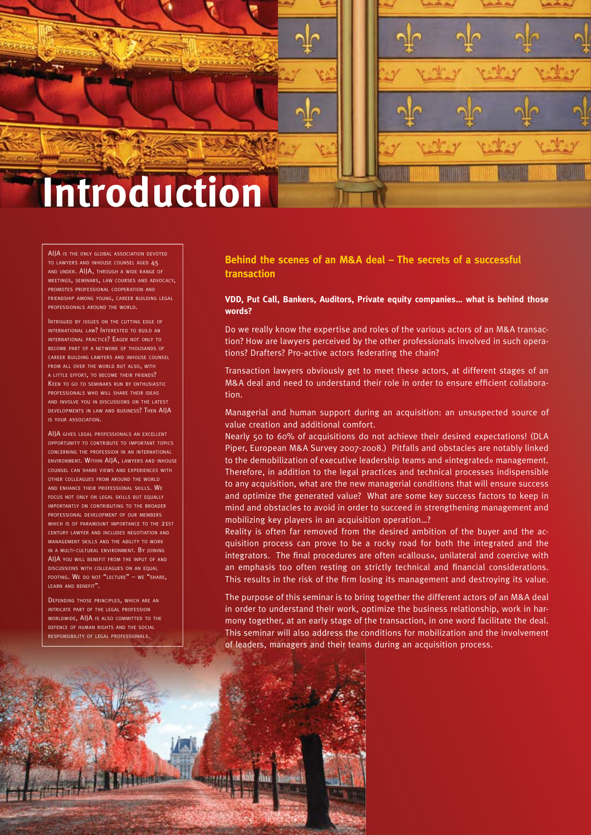

AIJA IS THE ONLY GLOBAL ASSOCIATION DEVOTED TO LAWYERS AND INHOUSE COUNSEL AGED 45 AND UNDER. AIJA, THROUGH A WIDE RANGE OF MEETINGS, SEMINARS, LAW COURSES AND ADVOCACY, PROMOTES PROFESSIONAL COOPERATION AND FRIENDSHIP AMONG YOUNG, CAREER BUILDING LEGAL PROFESSIONALS AROUND THE WORLD.

INTRIGUED BY ISSUES ON THE CUTTING EDGE OF INTERNATIONAL LAW? INTERESTED TO BUILD AN INTERNATIONAL PRACTICE? EAGER NOT ONLY TO BECOME PART OF A NETWORK OF THOUSANDS OF CAREER BUILDING LAWYERS AND INHOUSE COUNSEL FROM ALL OVER THE WORLD BUT ALSO, WITH A LITTLE EFFORT, TO BECOME THEIR FRIENDS? KEEN TO GO TO SEMINARS RUN BY ENTHUSIASTIC PROFESSIONALS WHO WILL SHARE THEIR IDEAS AND INVOLVE YOU IN DISCUSSIONS ON THE LATEST DEVELOPMENTS IN LAW AND BUSINESS? THEN AILA IS YOUR ASSOCIATION.

AIIA GIVES LEGAL PROFESSIONALS AN EXCELLENT OPPORTUNITY TO CONTRIBUTE TO IMPORTANT TOPICS CONCERNING THE PROFESSION IN AN INTERNATIONAL ENVIRONMENT. WITHIN AIJA, LAWYERS AND INHOUSE COUNSEL CAN SHARE VIEWS AND EXPERIENCES WITH OTHER COLLEAGUES FROM AROUND THE WORLD AND ENHANCE THEIR PROFESSIONAL SKILLS. WE FOCUS NOT ONLY ON LEGAL SKILLS BUT EQUALLY IMPORTANTLY ON CONTRIBUTING TO THE BROADER PROFESSIONAL DEVELOPMENT OF OUR MEMBERS WHICH IS OF PARAMOUNT IMPORTANCE TO THE 21ST CENTURY LAWYER AND INCLUDES NEGOTIATION AND MANAGEMENT SKILLS AND THE ABILITY TO WORK IN A MULTI-CULTURAL ENVIRONMENT. BY JOINING AIJA YOU WILL BENEFIT FROM THE INPUT OF AND DISCUSSIONS WITH COLLEAGUES ON AN EQUAL FOOTING. WE DO NOT "LECTURE" – WE "SHARE, LEARN AND BENEFIT".

DEFENDING THOSE PRINCIPLES, WHICH ARE AN INTRICATE PART OF THE LEGAL PROFESSION WORLDWIDE, AIIA IS ALSO COMMITTED TO THE DEFENCE OF HUMAN RIGHTS AND THE SOCIAL RESPONSIBILITY OF LEGAL PROFESSIONALS.

**Behind the scenes of an M&A deal – The secrets of a successful transaction**

#### **VDD, Put Call, Bankers, Auditors, Private equity companies… what is behind those words?**

Do we really know the expertise and roles of the various actors of an M&A transaction? How are lawyers perceived by the other professionals involved in such operations? Drafters? Pro-active actors federating the chain?

Transaction lawyers obviously get to meet these actors, at different stages of an M&A deal and need to understand their role in order to ensure efficient collaboration.

Managerial and human support during an acquisition: an unsuspected source of value creation and additional comfort.

Nearly 50 to 60% of acquisitions do not achieve their desired expectations! (DLA Piper, European M&A Survey 2007-2008.) Pitfalls and obstacles are notably linked to the demobilization of executive leadership teams and «integrated» management. Therefore, in addition to the legal practices and technical processes indispensible to any acquisition, what are the new managerial conditions that will ensure success and optimize the generated value? What are some key success factors to keep in mind and obstacles to avoid in order to succeed in strengthening management and mobilizing key players in an acquisition operation…?

Reality is often far removed from the desired ambition of the buyer and the acquisition process can prove to be a rocky road for both the integrated and the integrators. The final procedures are often «callous», unilateral and coercive with an emphasis too often resting on strictly technical and financial considerations. This results in the risk of the firm losing its management and destroying its value.

The purpose of this seminar is to bring together the different actors of an M&A deal in order to understand their work, optimize the business relationship, work in harmony together, at an early stage of the transaction, in one word facilitate the deal. This seminar will also address the conditions for mobilization and the involvement of leaders, managers and their teams during an acquisition process.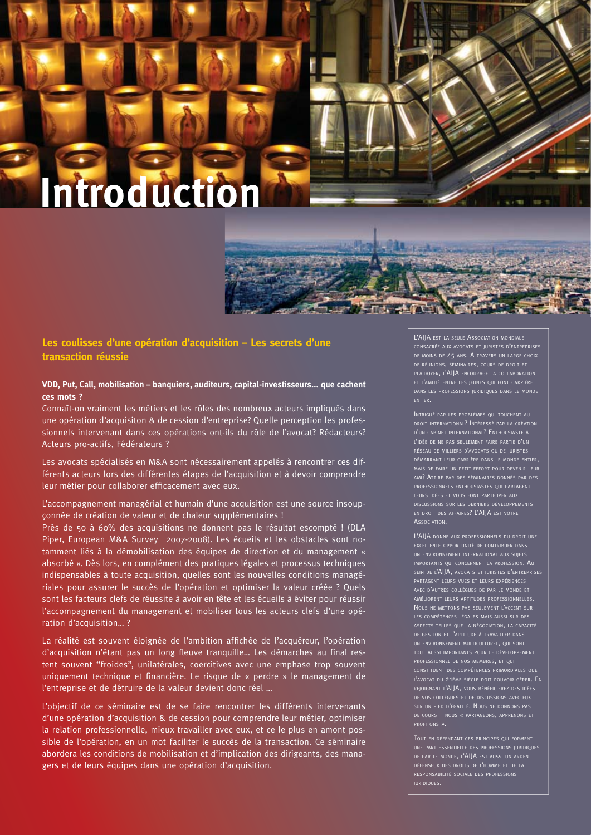# **Introduction**

**Les coulisses d'une opération d'acquisition – Les secrets d'une transaction réussie**

#### **VDD, Put, Call, mobilisation – banquiers, auditeurs, capital-investisseurs... que cachent ces mots ?**

Connaît-on vraiment les métiers et les rôles des nombreux acteurs impliqués dans une opération d'acquisiton & de cession d'entreprise? Quelle perception les professionnels intervenant dans ces opérations ont-ils du rôle de l'avocat? Rédacteurs? Acteurs pro-actifs, Fédérateurs ?

Les avocats spécialisés en M&A sont nécessairement appelés à rencontrer ces différents acteurs lors des différentes étapes de l'acquisition et à devoir comprendre leur métier pour collaborer efficacement avec eux.

L'accompagnement managérial et humain d'une acquisition est une source insoupçonnée de création de valeur et de chaleur supplémentaires !

Près de 50 à 60% des acquisitions ne donnent pas le résultat escompté ! (DLA Piper, European M&A Survey 2007-2008). Les écueils et les obstacles sont notamment liés à la démobilisation des équipes de direction et du management « absorbé ». Dès lors, en complément des pratiques légales et processus techniques indispensables à toute acquisition, quelles sont les nouvelles conditions managériales pour assurer le succès de l'opération et optimiser la valeur créée ? Quels sont les facteurs clefs de réussite à avoir en tête et les écueils à éviter pour réussir l'accompagnement du management et mobiliser tous les acteurs clefs d'une opération d'acquisition… ?

La réalité est souvent éloignée de l'ambition affichée de l'acquéreur, l'opération d'acquisition n'étant pas un long fleuve tranquille... Les démarches au final restent souvent "froides", unilatérales, coercitives avec une emphase trop souvent uniquement technique et financière. Le risque de « perdre » le management de l'entreprise et de détruire de la valeur devient donc réel …

L'objectif de ce séminaire est de se faire rencontrer les différents intervenants d'une opération d'acquisition & de cession pour comprendre leur métier, optimiser la relation professionnelle, mieux travailler avec eux, et ce le plus en amont possible de l'opération, en un mot faciliter le succès de la transaction. Ce séminaire abordera les conditions de mobilisation et d'implication des dirigeants, des managers et de leurs équipes dans une opération d'acquisition.

L'AIJA EST LA SEULE ASSOCIATION MONDIALE DE MOINS DE 45 ANS. À TRAVERS UN LARGE CHOIX PLAIDOYER, L'AIJA ENCOURAGE LA COLLABORATION ET L'AMITIÉ ENTRE LES JEUNES QUI FONT CARRIÈRE DANS LES PROFESSIONS JURIDIQUES DANS LE MONDE ENTIER.

不干点 土壤

DROIT INTERNATIONAL? INTÉRESSÉ PAR LA CRÉATION D'UN CABINET INTERNATIONAL? ENTHOUSIASTE <sup>À</sup> RÉSEAU DE MILLIERS D'AVOCATS OU DE JUR DÉMARRANT LEUR CARRIÈRE DANS LE MONDE ENTIER, MAIS DE FAIRE UN PETIT EFFORT POUR DEVENIR LEUR AMI? ATTIRÉ PAR DES SÉMINAIRES DONNÉS PAR DES EN DROIT DES AFFAIRES? L'AIJA EST VOTRE **ASSOCIATION.** 

L'AIJA DONNE AUX PROFESSIONNELS DU DROIT UNE EXCELLENTE OPPORTUNITÉ DE CONTRIBUER DANS IMPORTANTS QUI CONCERNENT LA PROFESSION. AU SEIN DE L'AIJA, AVOCATS ET JURISTES D'ENTREPRISES AVEC D'AUTRES COLLÈGUES DE PAR LE MON LES COMPÉTENCES LÉGALES MAIS AUSSI SUR DES DE GESTION ET L'APTITUDE <sup>À</sup> TRAVAILLER DANS TOUT AUSSI IMPORTANTS POUR LE DÉVELOPPEMENT PROFESSIONNEL DE NOS MEMBRES, ET QUI cat du 21ème siècle doit pouvoir gérer**. E**n REJOIGNANT L'AIJA, VOUS BÉNÉFICIEREZ DES IDÉES

TOUT EN DÉFENDANT CES PRINCIPES QUI FORMENT DE PAR LE MONDE, L'AIJA EST AUSSI UN ARDENT DÉFENSEUR DES DROITS DE L'HOMME ET DE LA JURIDIQUES.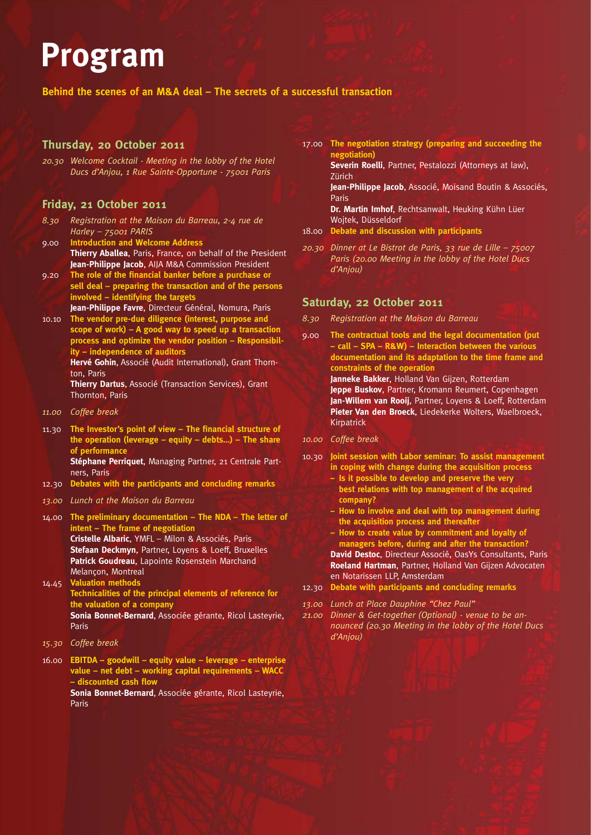## **Program**

**Behind the scenes of an M&A deal – The secrets of a successful transaction**

#### **Thursday, 20 October 2011**

*20.30 Welcome Cocktail - Meeting in the lobby of the Hotel Ducs d'Anjou, 1 Rue Sainte-Opportune - 75001 Paris*

#### **Friday, 21 October 2011**

- *8.30 Registration at the Maison du Barreau, 2-4 rue de Harley – 75001 PARIS*
- 9.00 **Introduction and Welcome Address Thierry Aballea**, Paris, France, on behalf of the President **Jean-Philippe Jacob**, AIJA M&A Commission President
- 9.20 The role of the financial banker before a purchase or **sell deal – preparing the transaction and of the persons involved – identifying the targets Jean-Philippe Favre**, Directeur Général, Nomura, Paris
- 10.10 **The vendor pre-due diligence (interest, purpose and scope of work) – A good way to speed up a transaction process and optimize the vendor position – Responsibility – independence of auditors Hervé Gohin**, Associé (Audit International), Grant Thorn-

ton, Paris

**Thierry Dartus**, Associé (Transaction Services), Grant Thornton, Paris

- *11.00 Coffee break*
- 11.30 The Investor's point of view The financial structure of **the operation (leverage – equity – debts…) – The share of performance Stéphane Perriquet**, Managing Partner, 21 Centrale Part-

ners, Paris 12.30 **Debates with the participants and concluding remarks**

- *13.00 Lunch at the Maison du Barreau*
- 14.00 **The preliminary documentation The NDA The letter of intent – The frame of negotiation Cristelle Albaric**, YMFL – Milon & Associés, Paris **Stefaan Deckmyn**, Partner, Loyens & Loeff, Bruxelles **Patrick Goudreau**, Lapointe Rosenstein Marchand Melançon, Montreal 14.45 **Valuation methods**
- **Technicalities of the principal elements of reference for the valuation of a company Sonia Bonnet-Bernard**, Associée gérante, Ricol Lasteyrie, Paris
- *15.30 Coffee break*

16.00 **EBITDA – goodwill – equity value – leverage – enterprise value – net debt – working capital requirements – WACC**  *<u>– discounted</u>* cash flow **Sonia Bonnet-Bernard**, Associée gérante, Ricol Lasteyrie,

Paris

17.00 **The negotiation strategy (preparing and succeeding the negotiation)**

**Severin Roelli**, Partner, Pestalozzi (Attorneys at law), Zürich

**Jean-Philippe Jacob**, Associé, Moisand Boutin & Associés, Paris

**Dr. Martin Imhof**, Rechtsanwalt, Heuking Kühn Lüer Wojtek, Düsseldorf

- 18.00 **Debate and discussion with participants**
- *20.30 Dinner at Le Bistrot de Paris, 33 rue de Lille 75007 Paris (20.00 Meeting in the lobby of the Hotel Ducs d'Anjou)*

#### **Saturday, 22 October 2011**

- *8.30 Registration at the Maison du Barreau*
- 9.00 **The contractual tools and the legal documentation (put – call – SPA – R&W) – Interaction between the various documentation and its adaptation to the time frame and constraints of the operation**

**Janneke Bakker**, Holland Van Gijzen, Rotterdam **Jeppe Buskov**, Partner, Kromann Reumert, Copenhagen **Jan-Willem van Rooij**, Partner, Loyens & Loeff, Rotterdam **Pieter Van den Broeck**, Liedekerke Wolters, Waelbroeck, Kirpatrick

- *10.00 Coffee break*
- 10.30 **Joint session with Labor seminar: To assist management in coping with change during the acquisition process**
	- **Is it possible to develop and preserve the very best relations with top management of the acquired company?**
	- **How to involve and deal with top management during the acquisition process and thereafter**
	- **How to create value by commitment and loyalty of managers before, during and after the transaction?**

**David Destoc**, Directeur Associé, OasYs Consultants, Paris **Roeland Hartman**, Partner, Holland Van Gijzen Advocaten en Notarissen LLP, Amsterdam

- 12.30 **Debate with participants and concluding remarks**
- *13.00 Lunch at Place Dauphine "Chez Paul"*
- *21.00 Dinner & Get-together (Optional) venue to be announced (20.30 Meeting in the lobby of the Hotel Ducs d'Anjou)*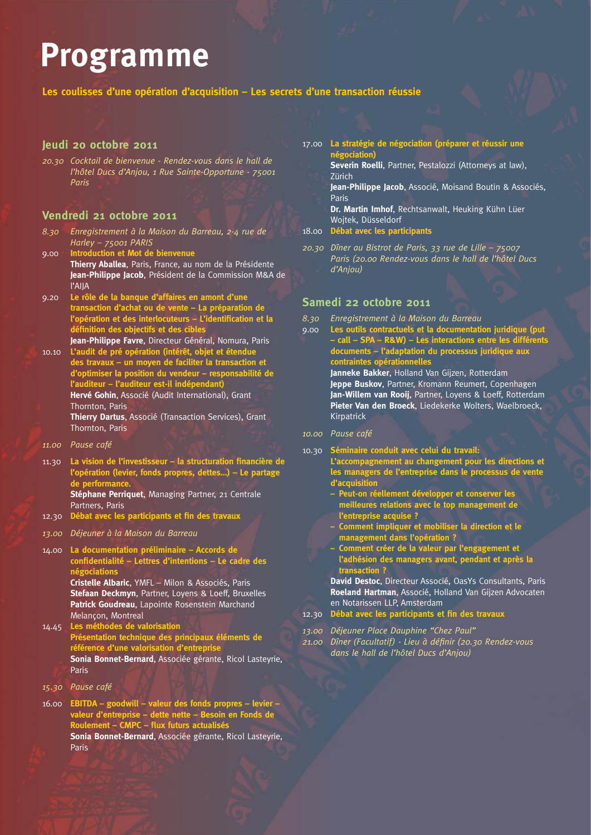### **Programme**

**Les coulisses d'une opération d'acquisition – Les secrets d'une transaction réussie**

#### **Jeudi 20 octobre 2011**

*20.30 Cocktail de bienvenue - Rendez-vous dans le hall de l'hôtel Ducs d'Anjou, 1 Rue Sainte-Opportune - 75001 Paris*

#### **Vendredi 21 octobre 2011**

- *8.30 Enregistrement à la Maison du Barreau, 2-4 rue de Harley – 75001 PARIS*
- 9.00 **Introduction et Mot de bienvenue Thierry Aballea**, Paris, France, au nom de la Présidente **Jean-Philippe Jacob**, Président de la Commission M&A de l'AIJA
- 9.20 **Le rôle de la banque d'affaires en amont d'une transaction d'achat ou de vente – La préparation de**  l'opération et des interlocuteurs - L'identification et la définition des objectifs et des ci
- **Jean-Philippe Favre**, Directeur Général, Nomura, Paris 10.10 **L'audit de pré opération (intérêt, objet et étendue des travaux – un moyen de faciliter la transaction et d'optimiser la position du vendeur – responsabilité de l'auditeur – l'auditeur est-il indépendant) Hervé Gohin**, Associé (Audit International), Grant Thornton, Paris **Thierry Dartus**, Associé (Transaction Services), Grant Thornton, Paris
- *11.00 Pause café*
- 11.30 La vision de l'investisseur la structuration financière de **l'opération (levier, fonds propres, dettes…) – Le partage de performance. Stéphane Perriquet**, Managing Partner, 21 Centrale

Partners, Paris

- 12.30 **Débat avec les participants et fin des travaux**
- *13.00 Déjeuner à la Maison du Barreau*
- 14.00 **La documentation préliminaire Accords de confi dentialité – Lettres d'intentions – Le cadre des négociations**

**Cristelle Albaric**, YMFL – Milon & Associés, Paris **Stefaan Deckmyn**, Partner, Loyens & Loeff, Bruxelles **Patrick Goudreau**, Lapointe Rosenstein Marchand Melançon, Montreal

- 14.45 **Les méthodes de valorisation Présentation technique des principaux éléments de référence d'une valorisation d'entreprise Sonia Bonnet-Bernard**, Associée gérante, Ricol Lasteyrie, Paris
- *15.30 Pause café*
- 16.00 **EBITDA goodwill valeur des fonds propres levier valeur d'entreprise – dette nette – Besoin en Fonds de Roulement – CMPC – flux futurs actualisés Sonia Bonnet-Bernard**, Associée gérante, Ricol Lasteyrie, Paris

17.00 **La stratégie de négociation (préparer et réussir une négociation)**

**Severin Roelli**, Partner, Pestalozzi (Attorneys at law), Zürich

Jean-Philippe Jacob, Associé, Moisand Boutin & Associés, Paris

**Dr. Martin Imhof**, Rechtsanwalt, Heuking Kühn Lüer Wojtek, Düsseldorf

- 18.00 **Débat avec les participants**
- *20.30 Dîner au Bistrot de Paris, 33 rue de Lille 75007 Paris (20.00 Rendez-vous dans le hall de l'hôtel Ducs d'Anjou)*

#### **Samedi 22 octobre 2011**

- *8.30 Enregistrement à la Maison du Barreau*
- 9.00 **Les outils contractuels et la documentation juridique (put – call – SPA – R&W) – Les interactions entre les différents documents – l'adaptation du processus juridique aux contraintes opérationnelles Janneke Bakker**, Holland Van Gijzen, Rotterdam **Jeppe Buskov**, Partner, Kromann Reumert, Copenhagen **Jan-Willem van Rooij**, Partner, Loyens & Loeff, Rotterdam

**Pieter Van den Broeck**, Liedekerke Wolters, Waelbroeck, Kirpatrick

- *10.00 Pause café*
- 10.30 **Séminaire conduit avec celui du travail:**

**L'accompagnement au changement pour les directions et les managers de l'entreprise dans le processus de vente d'acquisition**

- **Peut-on réellement développer et conserver les meilleures relations avec le top management de l'entreprise acquise ?**
- **Comment impliquer et mobiliser la direction et le management dans l'opération ?**
- **Comment créer de la valeur par l'engagement et l'adhésion des managers avant, pendant et après la transaction ?**

**David Destoc**, Directeur Associé, OasYs Consultants, Paris **Roeland Hartman**, Associé, Holland Van Gijzen Advocaten en Notarissen LLP, Amsterdam

12.30 Débat avec les participants et fin des travaux

*13.00 Déjeuner Place Dauphine "Chez Paul"*

21.00 Dîner (Facultatif) - Lieu à définir (20.30 Rendez-vous *dans le hall de l'hôtel Ducs d'Anjou)*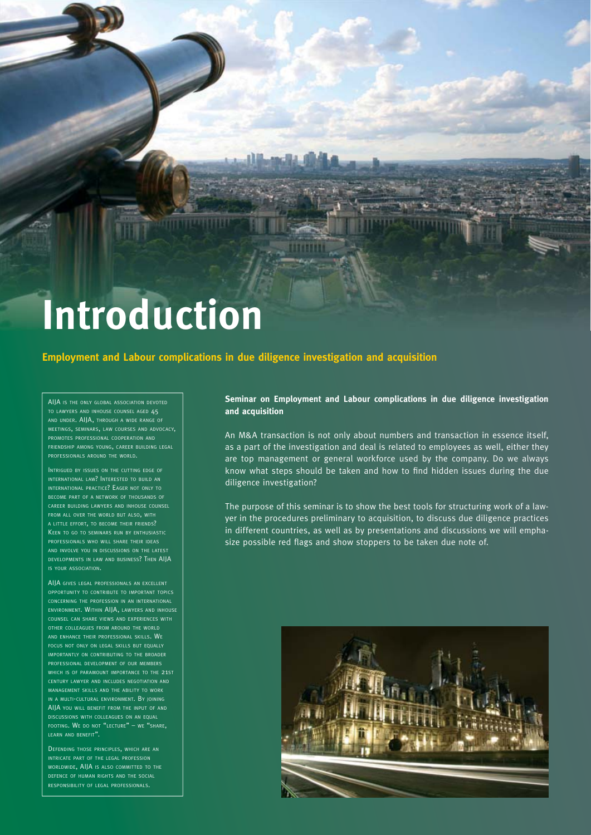# **Introduction**

#### **Employment and Labour complications in due diligence investigation and acquisition**

AIIA IS THE ONLY GLOBAL ASSOCIATION DEVOTED TO LAWYERS AND INHOUSE COUNSEL AGED 45 AND UNDER. AIJA, THROUGH A WIDE RANGE OF MEETINGS, SEMINARS, LAW COURSES AND ADVOCACY, PROMOTES PROFESSIONAL COOPERATION AND FRIENDSHIP AMONG YOUNG, CAREER BUILDING LEGAL PROFESSIONALS AROUND THE WORLD.

INTRIGUED BY ISSUES ON THE CUTTING EDGE OF INTERNATIONAL LAW? INTERESTED TO BUILD AN INTERNATIONAL PRACTICE? EAGER NOT ONLY TO BECOME PART OF A NETWORK OF THOUSANDS OF CAREER BUILDING LAWYERS AND INHOUSE COUNSEL FROM ALL OVER THE WORLD BUT ALSO, WITH <sup>A</sup> LITTLE EFFORT, TO BECOME THEIR FRIENDS? KEEN TO GO TO SEMINARS RUN BY ENTHUSIASTIC PROFESSIONALS WHO WILL SHARE THEIR IDEAS AND INVOLVE YOU IN DISCUSSIONS ON THE LATEST DEVELOPMENTS IN LAW AND BUSINESS? THEN AIJA IS YOUR ASSOCIATION.

AIIA GIVES LEGAL PROFESSIONALS AN EXCELLENT OPPORTUNITY TO CONTRIBUTE TO IMPORTANT TOPICS CONCERNING THE PROFESSION IN AN INTERNATIONAL ENVIRONMENT. WITHIN AIJA, LAWYERS AND INHOUSE COUNSEL CAN SHARE VIEWS AND EXPERIENCES WITH OTHER COLLEAGUES FROM AROUND THE WORLD AND ENHANCE THEIR PROFESSIONAL SKILLS. WE FOCUS NOT ONLY ON LEGAL SKILLS BUT EQUALLY IMPORTANTLY ON CONTRIBUTING TO THE BROADER PROFESSIONAL DEVELOPMENT OF OUR MEMBERS WHICH IS OF PARAMOUNT IMPORTANCE TO THE 21ST CENTURY LAWYER AND INCLUDES NEGOTIATION AND MANAGEMENT SKILLS AND THE ABILITY TO WORK IN <sup>A</sup> MULTI-CULTURAL ENVIRONMENT. BY JOINING AIIA YOU WILL BENEFIT FROM THE INPUT OF AND DISCUSSIONS WITH COLLEAGUES ON AN EQUAL FOOTING. WE DO NOT "LECTURE" - WE "SHARE, LEARN AND BENEFIT".

DEFENDING THOSE PRINCIPLES, WHICH ARE AN INTRICATE PART OF THE LEGAL PROFESSION WORLDWIDE, AIJA IS ALSO COMMITTED TO THE DEFENCE OF HUMAN RIGHTS AND THE SOCIAL RESPONSIBILITY OF LEGAL PROFESSIONALS.

**Seminar on Employment and Labour complications in due diligence investigation and acquisition**

An M&A transaction is not only about numbers and transaction in essence itself, as a part of the investigation and deal is related to employees as well, either they are top management or general workforce used by the company. Do we always know what steps should be taken and how to find hidden issues during the due diligence investigation?

The purpose of this seminar is to show the best tools for structuring work of a lawyer in the procedures preliminary to acquisition, to discuss due diligence practices in different countries, as well as by presentations and discussions we will emphasize possible red flags and show stoppers to be taken due note of.

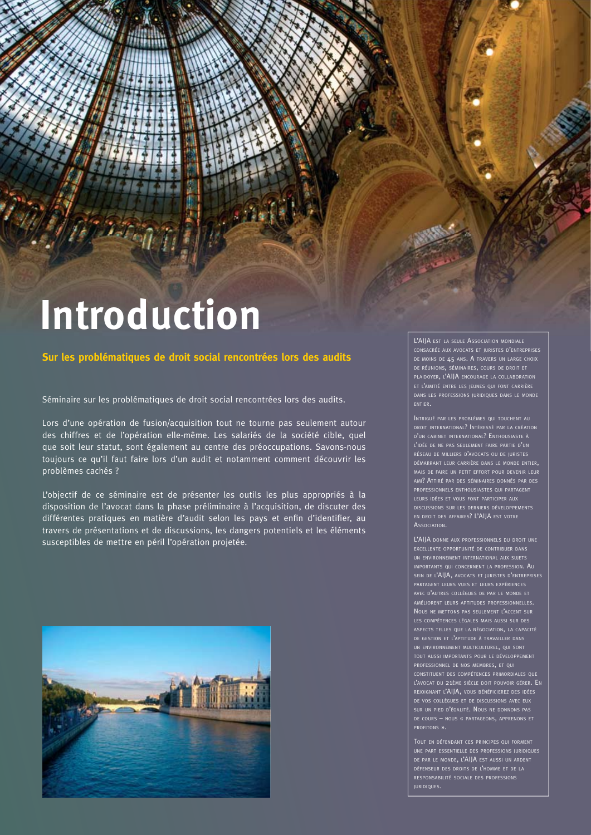# **Introduction**

#### **Sur les problématiques de droit social rencontrées lors des audits**

Séminaire sur les problématiques de droit social rencontrées lors des audits.

Lors d'une opération de fusion/acquisition tout ne tourne pas seulement autour des chiffres et de l'opération elle-même. Les salariés de la société cible, quel que soit leur statut, sont également au centre des préoccupations. Savons-nous toujours ce qu'il faut faire lors d'un audit et notamment comment découvrir les problèmes cachés ?

L'objectif de ce séminaire est de présenter les outils les plus appropriés à la disposition de l'avocat dans la phase préliminaire à l'acquisition, de discuter des différentes pratiques en matière d'audit selon les pays et enfin d'identifier, au travers de présentations et de discussions, les dangers potentiels et les éléments susceptibles de mettre en péril l'opération projetée.



L'AIJA EST LA SEULE ASSOCIATION MONDIALE DE MOINS DE 45 ANS. A TRAVERS UN LARGE CHOIX PLAIDOYER, L'AIJA ENCOURAGE LA COLLABORATION DANS LES PROFESSIONS JURIDIQUES DANS LE MONDE

INTRIGUÉ PAR LES PROBLÈMES QUI TOUCHENT AU DROIT INTERNATIONAL? INTÉRESSÉ PAR LA CRÉATION D'UN CABINET INTERNATIONAL? ENTHOUSIASTE <sup>À</sup> L'IDÉE DE NE PAS SEULEMENT FAIRE PARTIE D'UN DÉMARRANT LEUR CARRIÈRE DANS LE MONDE ENTIER, MAIS DE FAIRE UN PETIT EFFORT POUR DEVENIR LEUR AMI? ATTIRÉ PAR DES SÉMINAIRES DONNÉS PAR DES PROFESSIONNELS ENTHOUSIASTES QUI PARTAGENT DISCUSSIONS SUR LES DERNIERS DÉVELOPPEMENTS EN DROIT DES AFFAIRES? L'AIJA EST VOTRE **A**SSOCIATION

L'AIJA DONNE AUX PROFESSIONNELS DU DROIT UNE IMPORTANTS QUI CONCERNENT LA PROFESSION. AU SEIN DE L'AIJA, AVOCATS ET JURISTES D'ENTREPRISES AVEC D'AUTRES COLLÈGUES DE PAR LE MONDE ET DE GESTION ET L'APTITUDE <sup>À</sup> TRAVAILLER DANS TOUT AUSSI IMPORTANTS POUR LE DÉVELOPPEMENT PROFESSIONNEL DE NOS MEMBRES, ET QUI CONSTITUENT DES COMPÉTENCES PRIMORDIALES QUE L'AVOCAT DU 21ÈME SIÈCLE DOIT POUVOIR GÉRER. EN REJOIGNANT L'AIJA, VOUS BÉNÉFICIEREZ DES IDÉES PROFITONS ».

UNE PART ESSENTIELLE DES PROFESSIONS JURIDIQUES DE PAR LE MONDE, L'AIJA EST AUSSI UN ARDENT DÉFENSEUR DES DROITS DE L'HOMME ET DE LA RESPONSABILITÉ SOCIALE DES PROFESSIONS JURIDIQUES.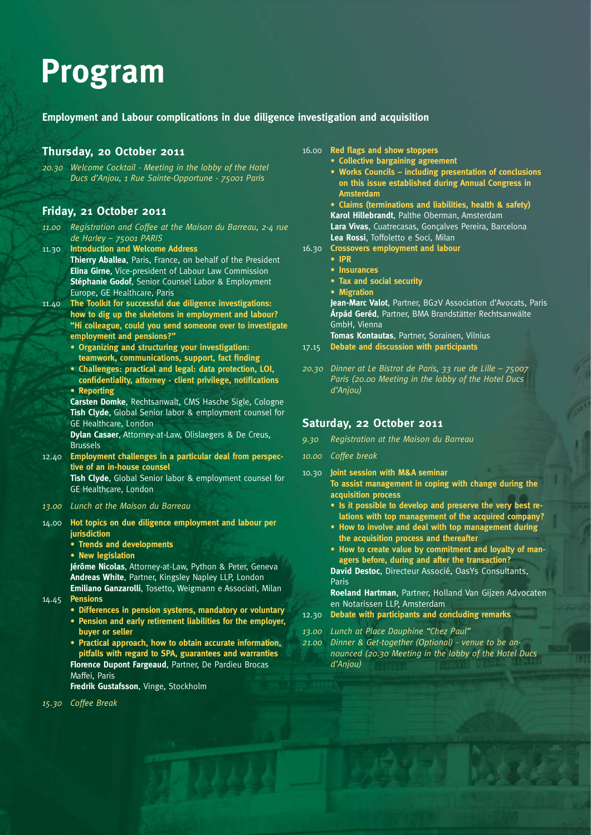### **Program**

#### **Employment and Labour complications in due diligence investigation and acquisition**

#### **Thursday, 20 October 2011**

*20.30 Welcome Cocktail - Meeting in the lobby of the Hotel Ducs d'Anjou, 1 Rue Sainte-Opportune - 75001 Paris*

#### **Friday, 21 October 2011**

- *11.00 Registration and Coffee at the Maison du Barreau, 2-4 rue de Harley – 75001 PARIS*
- 11.30 **Introduction and Welcome Address Thierry Aballea**, Paris, France, on behalf of the President **Elina Girne**, Vice-president of Labour Law Commission **Stéphanie Godof**, Senior Counsel Labor & Employment Europe, GE Healthcare, Paris
- 11.40 **The Toolkit for successful due diligence investigations: how to dig up the skeletons in employment and labour? "Hi colleague, could you send someone over to investigate employment and pensions?"**
	- **Organizing and structuring your investigation:**  teamwork, communications, support, fact finding
	- **Challenges: practical and legal: data protection, LOI,**  confidentiality, attorney - client privilege, notifications
	- **Reporting**

**Carsten Domke**, Rechtsanwalt, CMS Hasche Sigle, Cologne **Tish Clyde**, Global Senior labor & employment counsel for GE Healthcare, London

**Dylan Casaer**, Attorney-at-Law, Olislaegers & De Creus, Brussels

- 12.40 **Employment challenges in a particular deal from perspective of an in-house counsel Tish Clyde**, Global Senior labor & employment counsel for GE Healthcare, London
- *13.00 Lunch at the Maison du Barreau*
- 14.00 **Hot topics on due diligence employment and labour per jurisdiction**
	- **Trends and developments**
	- **New legislation**

**Jérôme Nicolas**, Attorney-at-Law, Python & Peter, Geneva **Andreas White**, Partner, Kingsley Napley LLP, London **Emiliano Ganzarolli**, Tosetto, Weigmann e Associati, Milan

- 14.45 **Pensions**
	- **Differences in pension systems, mandatory or voluntary**
	- **Pension and early retirement liabilities for the employer, buyer or seller**
	- **Practical approach, how to obtain accurate information, pitfalls with regard to SPA, guarantees and warranties Florence Dupont Fargeaud**, Partner, De Pardieu Brocas Maffei, Paris

**Fredrik Gustafsson**, Vinge, Stockholm

*15.30 Coffee Break*

- 16.00 **Red flags and show stoppers** 
	- **Collective bargaining agreement • Works Councils – including presentation of conclusions on this issue established during Annual Congress in Amsterdam**

**• Claims (terminations and liabilities, health & safety) Karol Hillebrandt**, Palthe Oberman, Amsterdam **Lara Vivas**, Cuatrecasas, Gonçalves Pereira, Barcelona **Lea Rossi**, Toffoletto e Soci, Milan

- 16.30 **Crossovers employment and labour** 
	- **IPR**
	- **Insurances**
	- **Tax and social security**
	- **Migration**

**Jean-Marc Valot**, Partner, BG2V Association d'Avocats, Paris **Árpád Geréd**, Partner, BMA Brandstätter Rechtsanwälte GmbH, Vienna

**Tomas Kontautas**, Partner, Sorainen, Vilnius 17.15 **Debate and discussion with participants**

*20.30 Dinner at Le Bistrot de Paris, 33 rue de Lille – 75007 Paris (20.00 Meeting in the lobby of the Hotel Ducs d'Anjou)*

#### **Saturday, 22 October 2011**

- *9.30 Registration at the Maison du Barreau*
- *10.00 Coffee break*
- 10.30 **Joint session with M&A seminar To assist management in coping with change during the acquisition process**
	- **Is it possible to develop and preserve the very best relations with top management of the acquired company?**
	- **How to involve and deal with top management during the acquisition process and thereafter**

**• How to create value by commitment and loyalty of managers before, during and after the transaction?**

**David Destoc**, Directeur Associé, OasYs Consultants, Paris

**Roeland Hartman**, Partner, Holland Van Gijzen Advocaten en Notarissen LLP, Amsterdam

- 12.30 **Debate with participants and concluding remarks**
- *13.00 Lunch at Place Dauphine "Chez Paul"*
- *21.00 Dinner & Get-together (Optional) venue to be announced (20.30 Meeting in the lobby of the Hotel Ducs d'Anjou)*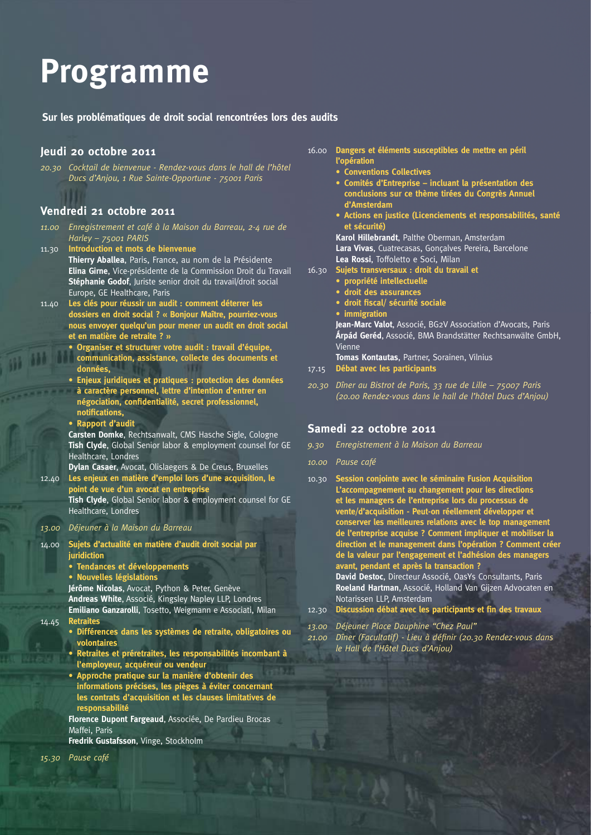## **Programme**

**Sur les problématiques de droit social rencontrées lors des audits**

#### **Jeudi 20 octobre 2011**

*20.30 Cocktail de bienvenue - Rendez-vous dans le hall de l'hôtel Ducs d'Anjou, 1 Rue Sainte-Opportune - 75001 Paris*

#### **Vendredi 21 octobre 2011**

- *11.00 Enregistrement et café à la Maison du Barreau, 2-4 rue de Harley – 75001 PARIS*
- 11.30 **Introduction et mots de bienvenue Thierry Aballea**, Paris, France, au nom de la Présidente **Elina Girne**, Vice-présidente de la Commission Droit du Travail **Stéphanie Godof**, Juriste senior droit du travail/droit social Europe, GE Healthcare, Paris
- 11.40 **Les clés pour réussir un audit : comment déterrer les dossiers en droit social ? « Bonjour Maître, pourriez-vous nous envoyer quelqu'un pour mener un audit en droit social et en matière de retraite ? »** 
	- **Organiser et structurer votre audit : travail d'équipe, communication, assistance, collecte des documents et données,**
	- **Enjeux juridiques et pratiques : protection des données à caractère personnel, lettre d'intention d'entrer en**  négociation, confidentialité, secret professionnel, **notifi cations,**
	- **Rapport d'audit**

**Carsten Domke**, Rechtsanwalt, CMS Hasche Sigle, Cologne **Tish Clyde**, Global Senior labor & employment counsel for GE Healthcare, Londres

**Dylan Casaer**, Avocat, Olislaegers & De Creus, Bruxelles 12.40 **Les enjeux en matière d'emploi lors d'une acquisition, le point de vue d'un avocat en entreprise**

**Tish Clyde**, Global Senior labor & employment counsel for GE Healthcare, Londres

#### *13.00 Déjeuner à la Maison du Barreau*

- 14.00 **Sujets d'actualité en matière d'audit droit social par juridiction** 
	- **Tendances et développements**
	- **Nouvelles législations**

**Jérôme Nicolas**, Avocat, Python & Peter, Genève

**Andreas White**, Associé, Kingsley Napley LLP, Londres

**Emiliano Ganzarolli**, Tosetto, Weigmann e Associati, Milan 14.45 **Retraites**

- **Différences dans les systèmes de retraite, obligatoires ou volontaires**
- **Retraites et préretraites, les responsabilités incombant à l'employeur, acquéreur ou vendeur**
- **Approche pratique sur la manière d'obtenir des informations précises, les pièges à éviter concernant les contrats d'acquisition et les clauses limitatives de responsabilité**

**Florence Dupont Fargeaud**, Associée, De Pardieu Brocas Maffei, Paris

**Fredrik Gustafsson**, Vinge, Stockholm

- 16.00 **Dangers et éléments susceptibles de mettre en péril l'opération** 
	- **Conventions Collectives**
	- **Comités d'Entreprise incluant la présentation des conclusions sur ce thème tirées du Congrès Annuel d'Amsterdam**
	- **Actions en justice (Licenciements et responsabilités, santé et sécurité)**

**Karol Hillebrandt**, Palthe Oberman, Amsterdam **Lara Vivas**, Cuatrecasas, Gonçalves Pereira, Barcelone **Lea Rossi**, Toffoletto e Soci, Milan

- 16.30 **Sujets transversaux : droit du travail et**
	- **propriété intellectuelle**
	- **droit des assurances**
	- **droit fiscal/ sécurité sociale**

**• immigration**

**Jean-Marc Valot**, Associé, BG2V Association d'Avocats, Paris **Árpád Geréd**, Associé, BMA Brandstätter Rechtsanwälte GmbH, Vienne

**Tomas Kontautas**, Partner, Sorainen, Vilnius

*20.30 Dîner au Bistrot de Paris, 33 rue de Lille – 75007 Paris (20.00 Rendez-vous dans le hall de l'hôtel Ducs d'Anjou)*

#### **Samedi 22 octobre 2011**

- *9.30 Enregistrement à la Maison du Barreau*
- *10.00 Pause café*
- 10.30 **Session conjointe avec le séminaire Fusion Acquisition L'accompagnement au changement pour les directions et les managers de l'entreprise lors du processus de vente/d'acquisition - Peut-on réellement développer et conserver les meilleures relations avec le top management de l'entreprise acquise ? Comment impliquer et mobiliser la direction et le management dans l'opération ? Comment créer de la valeur par l'engagement et l'adhésion des managers avant, pendant et après la transaction ? David Destoc**, Directeur Associé, OasYs Consultants, Paris

**Roeland Hartman**, Associé, Holland Van Gijzen Advocaten en Notarissen LLP, Amsterdam

- 12.30 **Discussion débat avec les participants et fin des travaux**
- *13.00 Déjeuner Place Dauphine "Chez Paul"*

*21.00 Dîner (Facultatif) - Lieu à défi nir (20.30 Rendez-vous dans le Hall de l'Hôtel Ducs d'Anjou)*

<sup>17.15</sup> **Débat avec les participants**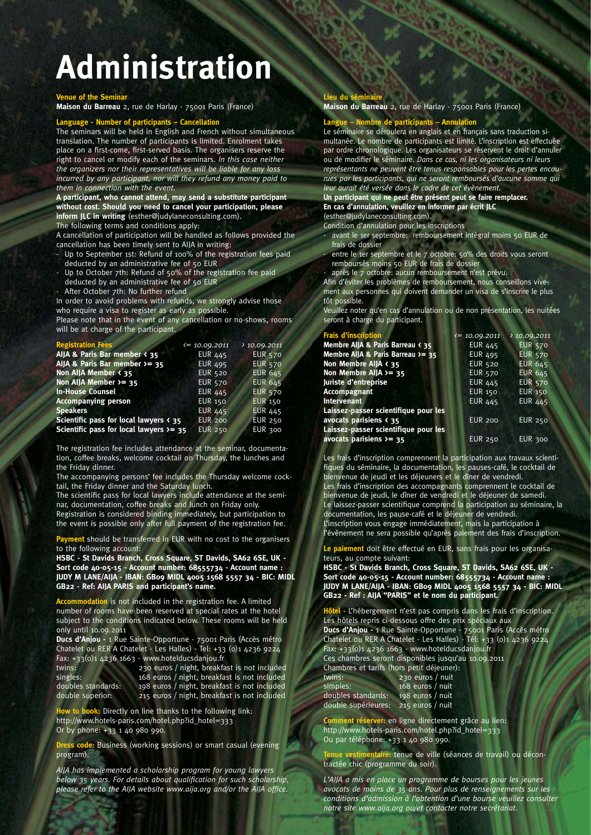## **Administration**

#### **Venue of the Seminar**

**Maison du Barreau** 2, rue de Harlay - 75001 Paris (France)

#### **Language - Number of participants – Cancellation**

The seminars will be held in English and French without simultaneous translation. The number of participants is limited. Enrolment takes place on a first-come, first-served basis. The organisers reserve the right to cancel or modify each of the seminars. *In this case neither the organizers nor their representatives will be liable for any loss incurred by any participant, nor will they refund any money paid to them in connection with the event.*

**A participant, who cannot attend, may send a substitute participant without cost. Should you need to cancel your participation, please inform JLC in writing** (esther@judylaneconsulting.com).

The following terms and conditions apply:

A cancellation of participation will be handled as follows provided the cancellation has been timely sent to AIJA in writing:

- Up to September 1st: Refund of 100% of the registration fees paid deducted by an administrative fee of 50 EUR
- Up to October 7th: Refund of 50% of the registration fee paid
- deducted by an administrative fee of 50 EUR
- After October 7th: No further refund

In order to avoid problems with refunds, we strongly advise those who require a visa to register as early as possible.

Please note that in the event of any cancellation or no-shows, rooms will be at charge of the participant.

| <b>Registration Fees</b>                                          | $\zeta = 10.09.2011$ | 10.09.2011     |
|-------------------------------------------------------------------|----------------------|----------------|
| AlJA & Paris Bar member < 35                                      | <b>EUR 445</b>       | <b>EUR 570</b> |
| AlJA & Paris Bar member $\ge$ 35                                  | <b>EUR 495</b>       | <b>EUR 570</b> |
| Non AllA Member < 35                                              | <b>EUR 520</b>       | <b>EUR 645</b> |
| Non AllA Member $>= 35$                                           | <b>EUR 570</b>       | <b>EUR 645</b> |
| <b>In-House Counsel</b>                                           | <b>EUR 445</b>       | <b>EUR 570</b> |
| <b>Accompanying person</b>                                        | <b>EUR 150</b>       | <b>EUR 150</b> |
| <b>Speakers</b>                                                   | <b>EUR 445</b>       | <b>EUR 445</b> |
| Scientific pass for local lawyers $\left\langle \right\rangle$ 35 | <b>EUR 200</b>       | <b>EUR 250</b> |
| Scientific pass for local lawyers $>= 35$                         | <b>EUR 250</b>       | <b>EUR 300</b> |

The registration fee includes attendance at the seminar, documentation, coffee breaks, welcome cocktail on Thursday, the lunches and the Friday dinner.

The accompanying persons' fee includes the Thursday welcome cocktail, the Friday dinner and the Saturday lunch.

The scientific pass for local lawyers include attendance at the seminar, documentation, coffee breaks and lunch on Friday only.

Registration is considered binding immediately, but participation to the event is possible only after full payment of the registration fee.

**ent** should be transferred in EUR with no cost to the organisers to the following account:

**HSBC - St Davids Branch, Cross Square, ST Davids, SA62 6SE, UK - Sort code 40-05-15 - Account number: 68555734 - Account name : JUDY M LANE/AIJA - IBAN: GB09 MIDL 4005 1568 5557 34 - BIC: MIDL GB22 - Ref: AIJA PARIS and participant's name.**

**n** is not included in the registration fee. A limited number of rooms have been reserved at special rates at the hotel subject to the conditions indicated below. These rooms will be held only until 10.09.2011

**Ducs d'Anjou -** 1 Rue Sainte-Opportune - 75001 Paris (Accès métro Chatelet ou RER A Chatelet - Les Halles) - Tel: +33 (0)1 4236 9224 Fax: +33(0)1 4236 1663 - www.hotelducsdanjou.fr

twins: 230 euros / night, breakfast is not included singles: 168 euros / night, breakfast is not included doubles standards: 198 euros / night, breakfast is not included double superior: 215 euros / night, breakfast is not included

**w** to book: Directly on line thanks to the following link: http://www.hotels-paris.com/hotel.php?id\_hotel=333 Or by phone: +33 1 40 980 990.

**Dress code:** Business (working sessions) or smart casual (evening program).

*AIJA has implemented a scholarship program for young lawyers*  below 35 years. For details about qualification for such scholarship, please refer to the AIJA website www.aija.org and/or the AIJA office.

#### **Lieu du sémin**

**Maison du Barreau** 2, rue de Harlay - 75001 Paris (France)

#### **Langue – Nombre de participants – Annulation**

Le séminaire se déroulera en anglais et en français sans traduction simultanée. Le nombre de participants est limité. L'inscription est effectuée par ordre chronologique. Les organisateurs se réservent le droit d'annuler ou de modifier le séminaire. *Dans ce cas, ni les organisateurs ni leurs représentants ne peuvent être tenus responsables pour les pertes encourues par les participants, qui ne seront remboursés d'aucune somme qui leur aurait été versée dans le cadre de cet évènement.* 

#### **Un participant qui ne peut être présent peut se faire remplacer. En cas d'annulation, veuillez en informer par écrit JLC**

(esther@judylaneconsulting.com).

- Condition d'annulation pour les inscriptions avant le 1er septembre: remboursement intégral moins 50 EUR de frais de dossier
- entre le 1er septembre et le 7 octobre: 50% des droits vous seront remboursés moins 50 EUR de frais de dossier
- après le 7 octobre: aucun remboursement n'est prévu.

Afin d'éviter les problèmes de remboursement, nous conseillons vivement aux personnes qui doivent demander un visa de s'inscrire le plus tôt possible.

Veuillez noter qu'en cas d'annulation ou de non présentation, les nuitées seront à charge du participant.

| <b>Frais d'inscription</b>             | $\zeta$ = 10.09.2011 | 10.09.2011     |
|----------------------------------------|----------------------|----------------|
| Membre AlJA & Paris Barreau < 35       | <b>EUR 445</b>       | <b>EUR 570</b> |
| Membre AllA & Paris Barreau $>= 35$    | <b>EUR 495</b>       | <b>EUR 570</b> |
| Non Membre AllA < 35                   | <b>EUR 520</b>       | <b>EUR 645</b> |
| Non Membre AIJA >= 35                  | <b>EUR 570</b>       | <b>EUR 645</b> |
| Juriste d'entreprise                   | <b>EUR 445</b>       | <b>EUR 570</b> |
| <b>Accompagnant</b>                    | <b>EUR 150</b>       | <b>EUR 150</b> |
| <b>Intervenant</b>                     | <b>EUR 445</b>       | <b>EUR 445</b> |
| Laissez-passer scientifique pour les   |                      |                |
| avocats parisiens $\langle 35 \rangle$ | <b>EUR 200</b>       | <b>EUR 250</b> |
| Laissez-passer scientifique pour les   |                      |                |
| avocats parisiens $\lambda$ = 35       | <b>EUR 250</b>       | <b>EUR 300</b> |

Les frais d'inscription comprennent la participation aux travaux scientifiques du séminaire, la documentation, les pauses-café, le cocktail de bienvenue de jeudi et les déjeuners et le dîner de vendredi.

Les frais d'inscription des accompagnants comprennent le cocktail de bienvenue de jeudi, le dîner de vendredi et le déjeuner de samedi. Le laissez-passer scientifique comprend la participation au séminaire, la documentation, les pause-café et le déjeuner de vendredi. L'inscription vous engage immédiatement, mais la participation à l'évènement ne sera possible qu'après paiement des frais d'inscription.

**Le paiement** doit être effectué en EUR, sans frais pour les organisateurs, au compte suivant:

**HSBC - St Davids Branch, Cross Square, ST Davids, SA62 6SE, UK - Sort code 40-05-15 - Account number: 68555734 - Account name : JUDY M LANE/AIJA - IBAN: GB09 MIDL 4005 1568 5557 34 - BIC: MIDL GB22 - Ref : AIJA "PARIS" et le nom du participant.**

**Hôtel -** L'hébergement n'est pas compris dans les frais d'inscription. Les hôtels repris ci-dessous offre des prix spéciaux aux **Ducs d'Anjou -** 1 Rue Sainte-Opportune - 75001 Paris (Accès métro Chatelet ou RER A Chatelet - Les Halles) - Tél: +33 (0)1 4236 9224 Fax: +33(0)1 4236 1663 - www.hotelducsdanjou.fr Ces chambres seront disponibles jusqu'au 10.09.2011

Chambres et tarifs (hors petit déjeuner):

| twins:              | 230 euros / nuit |
|---------------------|------------------|
| simples:            | 168 euros / nuit |
| doubles standards:  | 198 euros / nuit |
| double supérieures: | 215 euros / nuit |

**Comment réserver:** en ligne directement grâce au lien: http://www.hotels-paris.com/hotel.php?id\_hotel=333 Ou par téléphone: +33 1 40 980 990.

**ntaire:** tenue de ville (séances de travail) ou décontractée chic (programme du soir).

*L'AIJA a mis en place un programme de bourses pour les jeunes avocats de moins de 35 ans. Pour plus de renseignements sur les conditions d'admission à l'obtention d'une bourse veuillez consulter notre site www.aija.org ou/et contacter notre secrétariat.*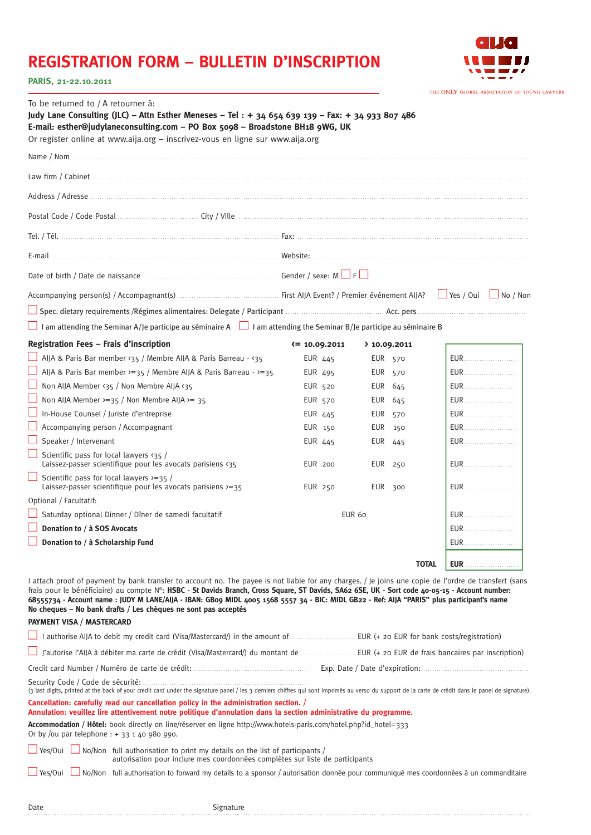### **REGISTRATION FORM – BULLETIN D'INSCRIPTION**



#### **PARIS, 21-22.10.2011**

|                                                                                                                                                                                                                                                                                                                                 |                                                                                                                                                                               | THE ONLY GLOBAL ASSOCIATION OF YOUNG LAWYERS                                                                                                                                                                                                                                                                                                                                                                                                                                                                                                                                                                                                                                                                                                                                                                                         |
|---------------------------------------------------------------------------------------------------------------------------------------------------------------------------------------------------------------------------------------------------------------------------------------------------------------------------------|-------------------------------------------------------------------------------------------------------------------------------------------------------------------------------|--------------------------------------------------------------------------------------------------------------------------------------------------------------------------------------------------------------------------------------------------------------------------------------------------------------------------------------------------------------------------------------------------------------------------------------------------------------------------------------------------------------------------------------------------------------------------------------------------------------------------------------------------------------------------------------------------------------------------------------------------------------------------------------------------------------------------------------|
| E-mail: esther@judylaneconsulting.com - PO Box 5098 - Broadstone BH18 9WG, UK<br>Or register online at www.aija.org - inscrivez-vous en ligne sur www.aija.org                                                                                                                                                                  |                                                                                                                                                                               |                                                                                                                                                                                                                                                                                                                                                                                                                                                                                                                                                                                                                                                                                                                                                                                                                                      |
|                                                                                                                                                                                                                                                                                                                                 |                                                                                                                                                                               |                                                                                                                                                                                                                                                                                                                                                                                                                                                                                                                                                                                                                                                                                                                                                                                                                                      |
|                                                                                                                                                                                                                                                                                                                                 |                                                                                                                                                                               |                                                                                                                                                                                                                                                                                                                                                                                                                                                                                                                                                                                                                                                                                                                                                                                                                                      |
|                                                                                                                                                                                                                                                                                                                                 |                                                                                                                                                                               |                                                                                                                                                                                                                                                                                                                                                                                                                                                                                                                                                                                                                                                                                                                                                                                                                                      |
|                                                                                                                                                                                                                                                                                                                                 |                                                                                                                                                                               |                                                                                                                                                                                                                                                                                                                                                                                                                                                                                                                                                                                                                                                                                                                                                                                                                                      |
|                                                                                                                                                                                                                                                                                                                                 |                                                                                                                                                                               |                                                                                                                                                                                                                                                                                                                                                                                                                                                                                                                                                                                                                                                                                                                                                                                                                                      |
|                                                                                                                                                                                                                                                                                                                                 |                                                                                                                                                                               |                                                                                                                                                                                                                                                                                                                                                                                                                                                                                                                                                                                                                                                                                                                                                                                                                                      |
|                                                                                                                                                                                                                                                                                                                                 |                                                                                                                                                                               |                                                                                                                                                                                                                                                                                                                                                                                                                                                                                                                                                                                                                                                                                                                                                                                                                                      |
|                                                                                                                                                                                                                                                                                                                                 |                                                                                                                                                                               |                                                                                                                                                                                                                                                                                                                                                                                                                                                                                                                                                                                                                                                                                                                                                                                                                                      |
|                                                                                                                                                                                                                                                                                                                                 |                                                                                                                                                                               |                                                                                                                                                                                                                                                                                                                                                                                                                                                                                                                                                                                                                                                                                                                                                                                                                                      |
|                                                                                                                                                                                                                                                                                                                                 |                                                                                                                                                                               |                                                                                                                                                                                                                                                                                                                                                                                                                                                                                                                                                                                                                                                                                                                                                                                                                                      |
|                                                                                                                                                                                                                                                                                                                                 |                                                                                                                                                                               |                                                                                                                                                                                                                                                                                                                                                                                                                                                                                                                                                                                                                                                                                                                                                                                                                                      |
|                                                                                                                                                                                                                                                                                                                                 |                                                                                                                                                                               |                                                                                                                                                                                                                                                                                                                                                                                                                                                                                                                                                                                                                                                                                                                                                                                                                                      |
|                                                                                                                                                                                                                                                                                                                                 |                                                                                                                                                                               | <b>EUR</b>                                                                                                                                                                                                                                                                                                                                                                                                                                                                                                                                                                                                                                                                                                                                                                                                                           |
|                                                                                                                                                                                                                                                                                                                                 |                                                                                                                                                                               | <b>EUR</b>                                                                                                                                                                                                                                                                                                                                                                                                                                                                                                                                                                                                                                                                                                                                                                                                                           |
|                                                                                                                                                                                                                                                                                                                                 |                                                                                                                                                                               | <b>EUR</b>                                                                                                                                                                                                                                                                                                                                                                                                                                                                                                                                                                                                                                                                                                                                                                                                                           |
|                                                                                                                                                                                                                                                                                                                                 |                                                                                                                                                                               | <b>EUR</b>                                                                                                                                                                                                                                                                                                                                                                                                                                                                                                                                                                                                                                                                                                                                                                                                                           |
|                                                                                                                                                                                                                                                                                                                                 |                                                                                                                                                                               | <b>EUR</b>                                                                                                                                                                                                                                                                                                                                                                                                                                                                                                                                                                                                                                                                                                                                                                                                                           |
|                                                                                                                                                                                                                                                                                                                                 |                                                                                                                                                                               | <b>EUR</b>                                                                                                                                                                                                                                                                                                                                                                                                                                                                                                                                                                                                                                                                                                                                                                                                                           |
|                                                                                                                                                                                                                                                                                                                                 |                                                                                                                                                                               | <b>EUR</b>                                                                                                                                                                                                                                                                                                                                                                                                                                                                                                                                                                                                                                                                                                                                                                                                                           |
| <b>EUR 200</b>                                                                                                                                                                                                                                                                                                                  |                                                                                                                                                                               | <b>EUR</b>                                                                                                                                                                                                                                                                                                                                                                                                                                                                                                                                                                                                                                                                                                                                                                                                                           |
| EUR 250                                                                                                                                                                                                                                                                                                                         | EUR 300                                                                                                                                                                       | <b>EUR</b>                                                                                                                                                                                                                                                                                                                                                                                                                                                                                                                                                                                                                                                                                                                                                                                                                           |
|                                                                                                                                                                                                                                                                                                                                 |                                                                                                                                                                               |                                                                                                                                                                                                                                                                                                                                                                                                                                                                                                                                                                                                                                                                                                                                                                                                                                      |
|                                                                                                                                                                                                                                                                                                                                 |                                                                                                                                                                               | <b>EUR</b>                                                                                                                                                                                                                                                                                                                                                                                                                                                                                                                                                                                                                                                                                                                                                                                                                           |
|                                                                                                                                                                                                                                                                                                                                 |                                                                                                                                                                               | <b>EUR</b>                                                                                                                                                                                                                                                                                                                                                                                                                                                                                                                                                                                                                                                                                                                                                                                                                           |
|                                                                                                                                                                                                                                                                                                                                 |                                                                                                                                                                               | <b>EUR</b>                                                                                                                                                                                                                                                                                                                                                                                                                                                                                                                                                                                                                                                                                                                                                                                                                           |
|                                                                                                                                                                                                                                                                                                                                 |                                                                                                                                                                               | <b>EUR</b>                                                                                                                                                                                                                                                                                                                                                                                                                                                                                                                                                                                                                                                                                                                                                                                                                           |
|                                                                                                                                                                                                                                                                                                                                 |                                                                                                                                                                               |                                                                                                                                                                                                                                                                                                                                                                                                                                                                                                                                                                                                                                                                                                                                                                                                                                      |
|                                                                                                                                                                                                                                                                                                                                 |                                                                                                                                                                               |                                                                                                                                                                                                                                                                                                                                                                                                                                                                                                                                                                                                                                                                                                                                                                                                                                      |
|                                                                                                                                                                                                                                                                                                                                 |                                                                                                                                                                               | J'autorise l'AIJA à débiter ma carte de crédit (Visa/Mastercard/) du montant de  EUR (+ 20 EUR de frais bancaires par inscription)                                                                                                                                                                                                                                                                                                                                                                                                                                                                                                                                                                                                                                                                                                   |
|                                                                                                                                                                                                                                                                                                                                 |                                                                                                                                                                               |                                                                                                                                                                                                                                                                                                                                                                                                                                                                                                                                                                                                                                                                                                                                                                                                                                      |
|                                                                                                                                                                                                                                                                                                                                 |                                                                                                                                                                               |                                                                                                                                                                                                                                                                                                                                                                                                                                                                                                                                                                                                                                                                                                                                                                                                                                      |
|                                                                                                                                                                                                                                                                                                                                 |                                                                                                                                                                               | (3 last digits, printed at the back of your credit card under the signature panel / les 3 derniers chiffres qui sont imprimés au verso du support de la carte de crédit dans le panel de signature).                                                                                                                                                                                                                                                                                                                                                                                                                                                                                                                                                                                                                                 |
| Cancellation: carefully read our cancellation policy in the administration section. /<br>Annulation: veuillez lire attentivement notre politique d'annulation dans la section administrative du programme.<br>Accommodation / Hôtel: book directly on line/réserver en ligne http://www.hotels-paris.com/hotel.php?id_hotel=333 |                                                                                                                                                                               |                                                                                                                                                                                                                                                                                                                                                                                                                                                                                                                                                                                                                                                                                                                                                                                                                                      |
| $\perp$ No/Non full authorisation to print my details on the list of participants /<br>autorisation pour inclure mes coordonnées complètes sur liste de participants                                                                                                                                                            |                                                                                                                                                                               |                                                                                                                                                                                                                                                                                                                                                                                                                                                                                                                                                                                                                                                                                                                                                                                                                                      |
|                                                                                                                                                                                                                                                                                                                                 | $\zeta$ = 10.09.2011<br>EUR 445<br>AIJA & Paris Bar member >=35 / Membre AIJA & Paris Barreau - >=35<br>EUR 495<br>EUR 520<br><b>EUR 570</b><br>EUR 445<br>EUR 150<br>EUR 445 | Judy Lane Consulting (JLC) - Attn Esther Meneses - Tel : + 34 654 639 139 - Fax: + 34 933 807 486<br>I am attending the Seminar A/Je participe au séminaire A $\Box$ I am attending the Seminar B/Je participe au séminaire B<br>$\;$ 10.09.2011<br><b>EUR 570</b><br>EUR 570<br>EUR 645<br>EUR 645<br>EUR 570<br>EUR 150<br>EUR 445<br>EUR 250<br>EUR 60<br><b>TOTAL</b><br>I attach proof of payment by bank transfer to account no. The payee is not liable for any charges. / Je joins une copie de l'ordre de transfert (sans<br>frais pour le bénéficiaire) au compte N°: HSBC - St Davids Branch, Cross Square, ST Davids, SA62 6SE, UK - Sort code 40-05-15 - Account number:<br>68555734 - Account name : JUDY M LANE/AIJA - IBAN: GBo9 MIDL 4005 1568 5557 34 - BIC: MIDL GB22 - Ref: AIJA "PARIS" plus participant's name |